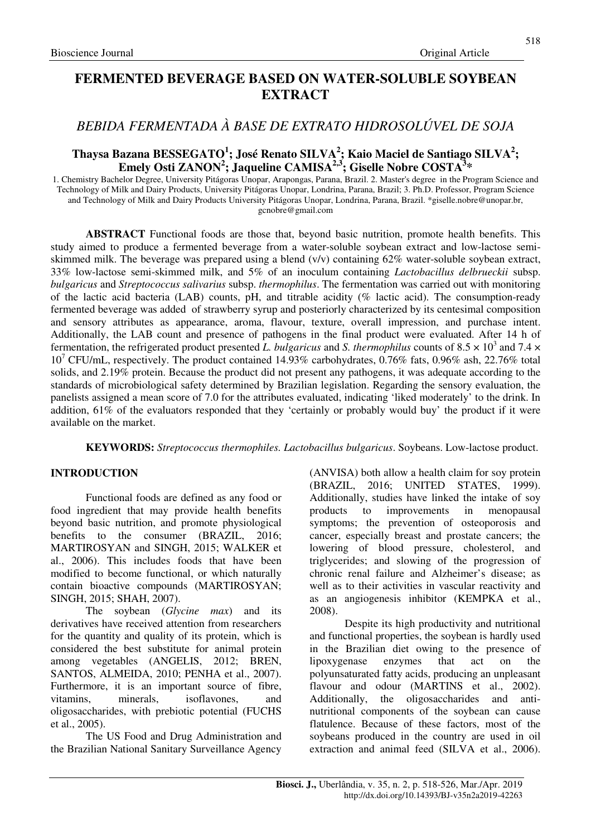# **FERMENTED BEVERAGE BASED ON WATER-SOLUBLE SOYBEAN EXTRACT**

# *BEBIDA FERMENTADA À BASE DE EXTRATO HIDROSOLÚVEL DE SOJA*

## **Thaysa Bazana BESSEGATO<sup>1</sup> ; José Renato SILVA<sup>2</sup> ; Kaio Maciel de Santiago SILVA<sup>2</sup> ; Emely Osti ZANON<sup>2</sup> ; Jaqueline CAMISA2,3; Giselle Nobre COSTA<sup>3</sup> \***

1. Chemistry Bachelor Degree, University Pitágoras Unopar, Arapongas, Parana, Brazil. 2. Master's degree in the Program Science and Technology of Milk and Dairy Products, University Pitágoras Unopar, Londrina, Parana, Brazil; 3. Ph.D. Professor, Program Science and Technology of Milk and Dairy Products University Pitágoras Unopar, Londrina, Parana, Brazil. \*giselle.nobre@unopar.br, gcnobre@gmail.com

**ABSTRACT** Functional foods are those that, beyond basic nutrition, promote health benefits. This study aimed to produce a fermented beverage from a water-soluble soybean extract and low-lactose semiskimmed milk. The beverage was prepared using a blend (v/v) containing 62% water-soluble soybean extract, 33% low-lactose semi-skimmed milk, and 5% of an inoculum containing *Lactobacillus delbrueckii* subsp. *bulgaricus* and *Streptococcus salivarius* subsp. *thermophilus*. The fermentation was carried out with monitoring of the lactic acid bacteria (LAB) counts, pH, and titrable acidity (% lactic acid). The consumption-ready fermented beverage was added of strawberry syrup and posteriorly characterized by its centesimal composition and sensory attributes as appearance, aroma, flavour, texture, overall impression, and purchase intent. Additionally, the LAB count and presence of pathogens in the final product were evaluated. After 14 h of fermentation, the refrigerated product presented L. bulgaricus and *S. thermophilus* counts of  $8.5 \times 10^3$  and  $7.4 \times$ 10<sup>7</sup> CFU/mL, respectively. The product contained 14.93% carbohydrates, 0.76% fats, 0.96% ash, 22.76% total solids, and 2.19% protein. Because the product did not present any pathogens, it was adequate according to the standards of microbiological safety determined by Brazilian legislation. Regarding the sensory evaluation, the panelists assigned a mean score of 7.0 for the attributes evaluated, indicating 'liked moderately' to the drink. In addition, 61% of the evaluators responded that they 'certainly or probably would buy' the product if it were available on the market.

**KEYWORDS:** *Streptococcus thermophiles. Lactobacillus bulgaricus*. Soybeans. Low-lactose product.

## **INTRODUCTION**

Functional foods are defined as any food or food ingredient that may provide health benefits beyond basic nutrition, and promote physiological benefits to the consumer (BRAZIL, 2016; MARTIROSYAN and SINGH, 2015; WALKER et al., 2006). This includes foods that have been modified to become functional, or which naturally contain bioactive compounds (MARTIROSYAN; SINGH, 2015; SHAH, 2007).

The soybean (*Glycine max*) and its derivatives have received attention from researchers for the quantity and quality of its protein, which is considered the best substitute for animal protein among vegetables (ANGELIS, 2012; BREN, SANTOS, ALMEIDA, 2010; PENHA et al., 2007). Furthermore, it is an important source of fibre, vitamins, minerals, isoflavones, and oligosaccharides, with prebiotic potential (FUCHS et al., 2005).

The US Food and Drug Administration and the Brazilian National Sanitary Surveillance Agency

(ANVISA) both allow a health claim for soy protein (BRAZIL, 2016; UNITED STATES, 1999). Additionally, studies have linked the intake of soy products to improvements in menopausal symptoms; the prevention of osteoporosis and cancer, especially breast and prostate cancers; the lowering of blood pressure, cholesterol, and triglycerides; and slowing of the progression of chronic renal failure and Alzheimer's disease; as well as to their activities in vascular reactivity and as an angiogenesis inhibitor (KEMPKA et al., 2008).

Despite its high productivity and nutritional and functional properties, the soybean is hardly used in the Brazilian diet owing to the presence of lipoxygenase enzymes that act on the polyunsaturated fatty acids, producing an unpleasant flavour and odour (MARTINS et al., 2002). Additionally, the oligosaccharides and antinutritional components of the soybean can cause flatulence. Because of these factors, most of the soybeans produced in the country are used in oil extraction and animal feed (SILVA et al., 2006).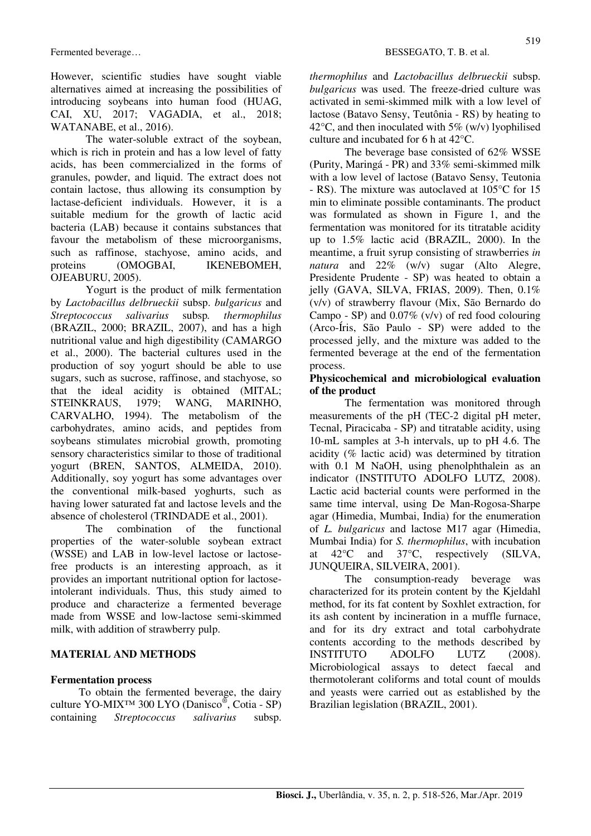However, scientific studies have sought viable alternatives aimed at increasing the possibilities of introducing soybeans into human food (HUAG, CAI, XU, 2017; VAGADIA, et al., 2018; WATANABE, et al., 2016).

The water-soluble extract of the soybean, which is rich in protein and has a low level of fatty acids, has been commercialized in the forms of granules, powder, and liquid. The extract does not contain lactose, thus allowing its consumption by lactase-deficient individuals. However, it is a suitable medium for the growth of lactic acid bacteria (LAB) because it contains substances that favour the metabolism of these microorganisms, such as raffinose, stachyose, amino acids, and proteins (OMOGBAI, IKENEBOMEH, OJEABURU, 2005).

Yogurt is the product of milk fermentation by *Lactobacillus delbrueckii* subsp. *bulgaricus* and *Streptococcus salivarius* subsp*. thermophilus*  (BRAZIL, 2000; BRAZIL, 2007), and has a high nutritional value and high digestibility (CAMARGO et al., 2000). The bacterial cultures used in the production of soy yogurt should be able to use sugars, such as sucrose, raffinose, and stachyose, so that the ideal acidity is obtained (MITAL; STEINKRAUS, 1979; WANG, MARINHO, CARVALHO, 1994). The metabolism of the carbohydrates, amino acids, and peptides from soybeans stimulates microbial growth, promoting sensory characteristics similar to those of traditional yogurt (BREN, SANTOS, ALMEIDA, 2010). Additionally, soy yogurt has some advantages over the conventional milk-based yoghurts, such as having lower saturated fat and lactose levels and the absence of cholesterol (TRINDADE et al., 2001).

The combination of the functional properties of the water-soluble soybean extract (WSSE) and LAB in low-level lactose or lactosefree products is an interesting approach, as it provides an important nutritional option for lactoseintolerant individuals. Thus, this study aimed to produce and characterize a fermented beverage made from WSSE and low-lactose semi-skimmed milk, with addition of strawberry pulp.

## **MATERIAL AND METHODS**

## **Fermentation process**

To obtain the fermented beverage, the dairy culture YO-MIX™ 300 LYO (Danisco® , Cotia - SP) containing *Streptococcus salivarius* subsp.

*thermophilus* and *Lactobacillus delbrueckii* subsp. *bulgaricus* was used. The freeze-dried culture was activated in semi-skimmed milk with a low level of lactose (Batavo Sensy, Teutônia - RS) by heating to 42 $\degree$ C, and then inoculated with 5% (w/v) lyophilised culture and incubated for 6 h at 42°C.

The beverage base consisted of 62% WSSE (Purity, Maringá - PR) and 33% semi-skimmed milk with a low level of lactose (Batavo Sensy, Teutonia - RS). The mixture was autoclaved at 105°C for 15 min to eliminate possible contaminants. The product was formulated as shown in Figure 1, and the fermentation was monitored for its titratable acidity up to 1.5% lactic acid (BRAZIL, 2000). In the meantime, a fruit syrup consisting of strawberries *in natura* and 22% (w/v) sugar (Alto Alegre, Presidente Prudente - SP) was heated to obtain a jelly (GAVA, SILVA, FRIAS, 2009). Then,  $0.1\%$ (v/v) of strawberry flavour (Mix, São Bernardo do Campo - SP) and  $0.07\%$  (v/v) of red food colouring (Arco-Íris, São Paulo - SP) were added to the processed jelly, and the mixture was added to the fermented beverage at the end of the fermentation process.

#### **Physicochemical and microbiological evaluation of the product**

The fermentation was monitored through measurements of the pH (TEC-2 digital pH meter, Tecnal, Piracicaba - SP) and titratable acidity, using 10-mL samples at 3-h intervals, up to pH 4.6. The acidity (% lactic acid) was determined by titration with 0.1 M NaOH, using phenolphthalein as an indicator (INSTITUTO ADOLFO LUTZ, 2008). Lactic acid bacterial counts were performed in the same time interval, using De Man-Rogosa-Sharpe agar (Himedia, Mumbai, India) for the enumeration of *L. bulgaricus* and lactose M17 agar (Himedia, Mumbai India) for *S. thermophilus*, with incubation at 42°C and 37°C, respectively (SILVA, JUNQUEIRA, SILVEIRA, 2001).

The consumption-ready beverage was characterized for its protein content by the Kjeldahl method, for its fat content by Soxhlet extraction, for its ash content by incineration in a muffle furnace, and for its dry extract and total carbohydrate contents according to the methods described by INSTITUTO ADOLFO LUTZ (2008). Microbiological assays to detect faecal and thermotolerant coliforms and total count of moulds and yeasts were carried out as established by the Brazilian legislation (BRAZIL, 2001).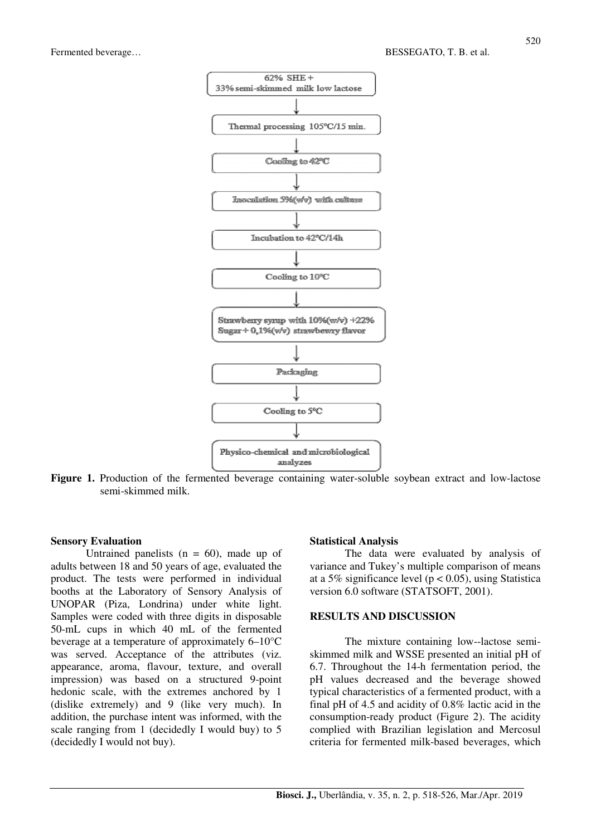

Figure 1. Production of the fermented beverage containing water-soluble soybean extract and low-lactose semi-skimmed milk.

#### **Sensory Evaluation**

Untrained panelists  $(n = 60)$ , made up of adults between 18 and 50 years of age, evaluated the product. The tests were performed in individual booths at the Laboratory of Sensory Analysis of UNOPAR (Piza, Londrina) under white light. Samples were coded with three digits in disposable 50-mL cups in which 40 mL of the fermented beverage at a temperature of approximately 6–10°C was served. Acceptance of the attributes (viz. appearance, aroma, flavour, texture, and overall impression) was based on a structured 9-point hedonic scale, with the extremes anchored by 1 (dislike extremely) and 9 (like very much). In addition, the purchase intent was informed, with the scale ranging from 1 (decidedly I would buy) to 5 (decidedly I would not buy).

#### **Statistical Analysis**

The data were evaluated by analysis of variance and Tukey's multiple comparison of means at a 5% significance level ( $p < 0.05$ ), using Statistica version 6.0 software (STATSOFT, 2001).

#### **RESULTS AND DISCUSSION**

The mixture containing low--lactose semiskimmed milk and WSSE presented an initial pH of 6.7. Throughout the 14-h fermentation period, the pH values decreased and the beverage showed typical characteristics of a fermented product, with a final pH of 4.5 and acidity of 0.8% lactic acid in the consumption-ready product (Figure 2). The acidity complied with Brazilian legislation and Mercosul criteria for fermented milk-based beverages, which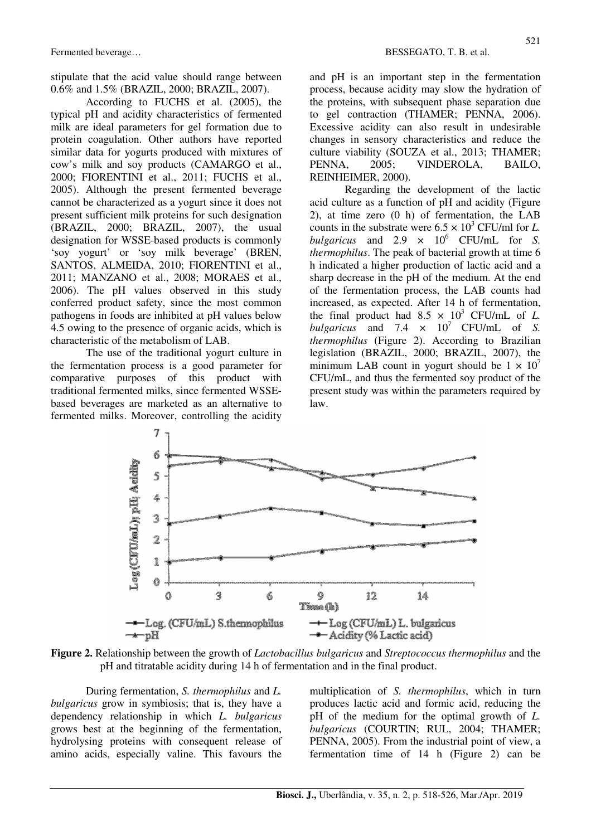stipulate that the acid value should range between 0.6% and 1.5% (BRAZIL, 2000; BRAZIL, 2007).

According to FUCHS et al. (2005), the typical pH and acidity characteristics of fermented milk are ideal parameters for gel formation due to protein coagulation. Other authors have reported similar data for yogurts produced with mixtures of cow's milk and soy products (CAMARGO et al., 2000; FIORENTINI et al., 2011; FUCHS et al., 2005). Although the present fermented beverage cannot be characterized as a yogurt since it does not present sufficient milk proteins for such designation (BRAZIL, 2000; BRAZIL, 2007), the usual designation for WSSE-based products is commonly 'soy yogurt' or 'soy milk beverage' (BREN, SANTOS, ALMEIDA, 2010; FIORENTINI et al., 2011; MANZANO et al., 2008; MORAES et al., 2006). The pH values observed in this study conferred product safety, since the most common pathogens in foods are inhibited at pH values below 4.5 owing to the presence of organic acids, which is characteristic of the metabolism of LAB.

The use of the traditional yogurt culture in the fermentation process is a good parameter for comparative purposes of this product with traditional fermented milks, since fermented WSSEbased beverages are marketed as an alternative to fermented milks. Moreover, controlling the acidity and pH is an important step in the fermentation process, because acidity may slow the hydration of the proteins, with subsequent phase separation due to gel contraction (THAMER; PENNA, 2006). Excessive acidity can also result in undesirable changes in sensory characteristics and reduce the culture viability (SOUZA et al., 2013; THAMER; PENNA, 2005; VINDEROLA, BAILO, REINHEIMER, 2000).

Regarding the development of the lactic acid culture as a function of pH and acidity (Figure 2), at time zero (0 h) of fermentation, the LAB counts in the substrate were  $6.5 \times 10^3$  CFU/ml for *L*. *bulgaricus* and 2.9  $\times$  10<sup>6</sup> CFU/mL for *S*. *thermophilus*. The peak of bacterial growth at time 6 h indicated a higher production of lactic acid and a sharp decrease in the pH of the medium. At the end of the fermentation process, the LAB counts had increased, as expected. After 14 h of fermentation, the final product had  $8.5 \times 10^3$  CFU/mL of *L*. *bulgaricus* and 7.4  $\times$  10<sup>7</sup> CFU/mL of *S*. *thermophilus* (Figure 2). According to Brazilian legislation (BRAZIL, 2000; BRAZIL, 2007), the minimum LAB count in yogurt should be  $1 \times 10^7$ CFU/mL, and thus the fermented soy product of the present study was within the parameters required by law.



**Figure 2.** Relationship between the growth of *Lactobacillus bulgaricus* and *Streptococcus thermophilus* and the pH and titratable acidity during 14 h of fermentation and in the final product.

During fermentation, *S. thermophilus* and *L. bulgaricus* grow in symbiosis; that is, they have a dependency relationship in which *L. bulgaricus* grows best at the beginning of the fermentation, hydrolysing proteins with consequent release of amino acids, especially valine. This favours the multiplication of *S. thermophilus*, which in turn produces lactic acid and formic acid, reducing the pH of the medium for the optimal growth of *L. bulgaricus* (COURTIN; RUL, 2004; THAMER; PENNA, 2005). From the industrial point of view, a fermentation time of 14 h (Figure 2) can be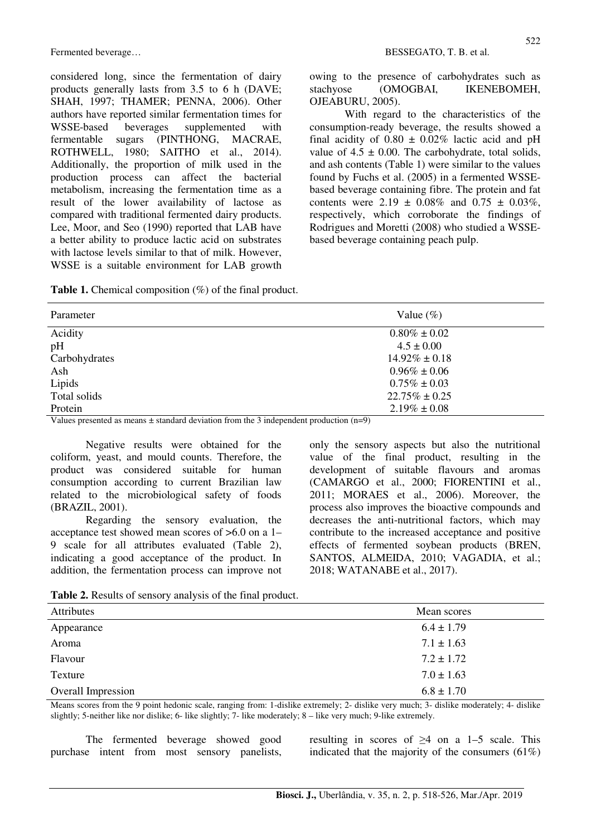considered long, since the fermentation of dairy products generally lasts from 3.5 to 6 h (DAVE; SHAH, 1997; THAMER; PENNA, 2006). Other authors have reported similar fermentation times for WSSE-based beverages supplemented with fermentable sugars (PINTHONG, MACRAE, ROTHWELL, 1980; SAITHO et al., 2014). Additionally, the proportion of milk used in the production process can affect the bacterial metabolism, increasing the fermentation time as a result of the lower availability of lactose as compared with traditional fermented dairy products. Lee, Moor, and Seo (1990) reported that LAB have a better ability to produce lactic acid on substrates with lactose levels similar to that of milk. However, WSSE is a suitable environment for LAB growth owing to the presence of carbohydrates such as stachyose (OMOGBAI, IKENEBOMEH, OJEABURU, 2005).

With regard to the characteristics of the consumption-ready beverage, the results showed a final acidity of  $0.80 \pm 0.02\%$  lactic acid and pH value of  $4.5 \pm 0.00$ . The carbohydrate, total solids, and ash contents (Table 1) were similar to the values found by Fuchs et al. (2005) in a fermented WSSEbased beverage containing fibre. The protein and fat contents were  $2.19 \pm 0.08\%$  and  $0.75 \pm 0.03\%$ . respectively, which corroborate the findings of Rodrigues and Moretti (2008) who studied a WSSEbased beverage containing peach pulp.

**Table 1.** Chemical composition (%) of the final product.

| Parameter     | Value $(\%)$       |
|---------------|--------------------|
| Acidity       | $0.80\% \pm 0.02$  |
| pH            | $4.5 \pm 0.00$     |
| Carbohydrates | $14.92\% \pm 0.18$ |
| Ash           | $0.96\% \pm 0.06$  |
| Lipids        | $0.75\% \pm 0.03$  |
| Total solids  | $22.75\% \pm 0.25$ |
| Protein       | $2.19\% \pm 0.08$  |

Values presented as means  $\pm$  standard deviation from the 3 independent production (n=9)

Negative results were obtained for the coliform, yeast, and mould counts. Therefore, the product was considered suitable for human consumption according to current Brazilian law related to the microbiological safety of foods (BRAZIL, 2001).

Regarding the sensory evaluation, the acceptance test showed mean scores of >6.0 on a 1– 9 scale for all attributes evaluated (Table 2), indicating a good acceptance of the product. In addition, the fermentation process can improve not only the sensory aspects but also the nutritional value of the final product, resulting in the development of suitable flavours and aromas (CAMARGO et al., 2000; FIORENTINI et al., 2011; MORAES et al., 2006). Moreover, the process also improves the bioactive compounds and decreases the anti-nutritional factors, which may contribute to the increased acceptance and positive effects of fermented soybean products (BREN, SANTOS, ALMEIDA, 2010; VAGADIA, et al.; 2018; WATANABE et al., 2017).

| Table 2. Results of sensory analysis of the final product. |  |  |  |
|------------------------------------------------------------|--|--|--|
|------------------------------------------------------------|--|--|--|

| Attributes                | Mean scores    |
|---------------------------|----------------|
| Appearance                | $6.4 \pm 1.79$ |
| Aroma                     | $7.1 \pm 1.63$ |
| Flavour                   | $7.2 \pm 1.72$ |
| Texture                   | $7.0 \pm 1.63$ |
| <b>Overall Impression</b> | $6.8 \pm 1.70$ |

Means scores from the 9 point hedonic scale, ranging from: 1-dislike extremely; 2- dislike very much; 3- dislike moderately; 4- dislike slightly; 5-neither like nor dislike; 6- like slightly; 7- like moderately; 8 – like very much; 9-like extremely.

The fermented beverage showed good purchase intent from most sensory panelists, resulting in scores of  $\geq 4$  on a 1–5 scale. This indicated that the majority of the consumers  $(61\%)$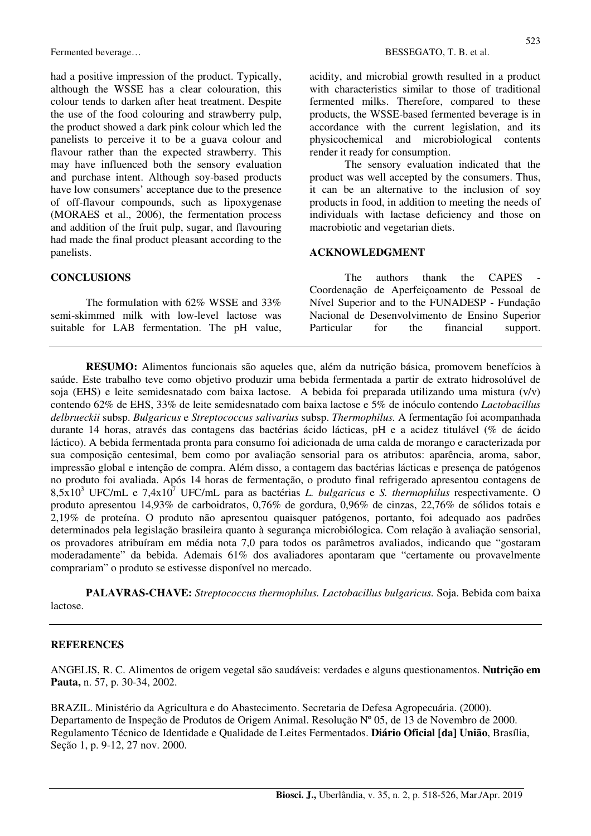had a positive impression of the product. Typically, although the WSSE has a clear colouration, this colour tends to darken after heat treatment. Despite the use of the food colouring and strawberry pulp, the product showed a dark pink colour which led the panelists to perceive it to be a guava colour and flavour rather than the expected strawberry. This may have influenced both the sensory evaluation and purchase intent. Although soy-based products have low consumers' acceptance due to the presence of off-flavour compounds, such as lipoxygenase (MORAES et al., 2006), the fermentation process and addition of the fruit pulp, sugar, and flavouring had made the final product pleasant according to the panelists.

## **CONCLUSIONS**

The formulation with 62% WSSE and 33% semi-skimmed milk with low-level lactose was suitable for LAB fermentation. The pH value, acidity, and microbial growth resulted in a product with characteristics similar to those of traditional fermented milks. Therefore, compared to these products, the WSSE-based fermented beverage is in accordance with the current legislation, and its physicochemical and microbiological contents render it ready for consumption.

The sensory evaluation indicated that the product was well accepted by the consumers. Thus, it can be an alternative to the inclusion of soy products in food, in addition to meeting the needs of individuals with lactase deficiency and those on macrobiotic and vegetarian diets.

#### **ACKNOWLEDGMENT**

The authors thank the CAPES Coordenação de Aperfeiçoamento de Pessoal de Nível Superior and to the FUNADESP - Fundação Nacional de Desenvolvimento de Ensino Superior Particular for the financial support.

**RESUMO:** Alimentos funcionais são aqueles que, além da nutrição básica, promovem benefícios à saúde. Este trabalho teve como objetivo produzir uma bebida fermentada a partir de extrato hidrosolúvel de soja (EHS) e leite semidesnatado com baixa lactose. A bebida foi preparada utilizando uma mistura (v/v) contendo 62% de EHS, 33% de leite semidesnatado com baixa lactose e 5% de inóculo contendo *Lactobacillus delbrueckii* subsp. *Bulgaricus* e *Streptococcus salivarius* subsp. *Thermophilus.* A fermentação foi acompanhada durante 14 horas, através das contagens das bactérias ácido lácticas, pH e a acidez titulável (% de ácido láctico). A bebida fermentada pronta para consumo foi adicionada de uma calda de morango e caracterizada por sua composição centesimal, bem como por avaliação sensorial para os atributos: aparência, aroma, sabor, impressão global e intenção de compra. Além disso, a contagem das bactérias lácticas e presença de patógenos no produto foi avaliada. Após 14 horas de fermentação, o produto final refrigerado apresentou contagens de 8,5x10<sup>3</sup> UFC/mL e 7,4x10<sup>7</sup> UFC/mL para as bactérias *L. bulgaricus* e *S. thermophilus* respectivamente. O produto apresentou 14,93% de carboidratos, 0,76% de gordura, 0,96% de cinzas, 22,76% de sólidos totais e 2,19% de proteína. O produto não apresentou quaisquer patógenos, portanto, foi adequado aos padrões determinados pela legislação brasileira quanto à segurança microbiólogica. Com relação à avaliação sensorial, os provadores atribuíram em média nota 7,0 para todos os parâmetros avaliados, indicando que "gostaram moderadamente" da bebida. Ademais 61% dos avaliadores apontaram que "certamente ou provavelmente comprariam" o produto se estivesse disponível no mercado.

**PALAVRAS-CHAVE:** *Streptococcus thermophilus. Lactobacillus bulgaricus.* Soja. Bebida com baixa lactose.

### **REFERENCES**

ANGELIS, R. C. Alimentos de origem vegetal são saudáveis: verdades e alguns questionamentos. **Nutrição em Pauta,** n. 57, p. 30-34, 2002.

BRAZIL. Ministério da Agricultura e do Abastecimento. Secretaria de Defesa Agropecuária. (2000). Departamento de Inspeção de Produtos de Origem Animal. Resolução Nº 05, de 13 de Novembro de 2000. Regulamento Técnico de Identidade e Qualidade de Leites Fermentados. **Diário Oficial [da] União**, Brasília, Seção 1, p. 9-12, 27 nov. 2000.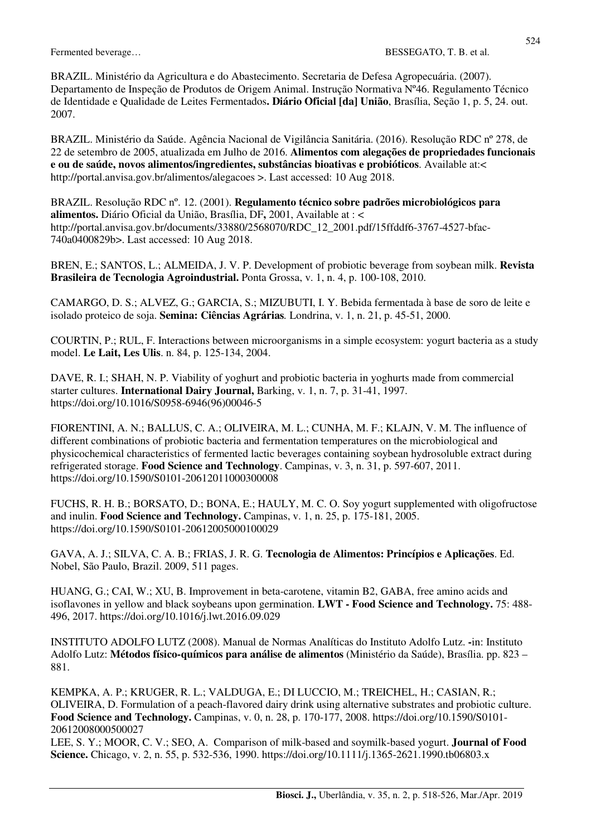BRAZIL. Ministério da Agricultura e do Abastecimento. Secretaria de Defesa Agropecuária. (2007). Departamento de Inspeção de Produtos de Origem Animal. Instrução Normativa Nº46. Regulamento Técnico de Identidade e Qualidade de Leites Fermentados**. Diário Oficial [da] União**, Brasília, Seção 1, p. 5, 24. out. 2007.

BRAZIL. Ministério da Saúde. Agência Nacional de Vigilância Sanitária. (2016). Resolução RDC nº 278, de 22 de setembro de 2005, atualizada em Julho de 2016. **Alimentos com alegações de propriedades funcionais e ou de saúde, novos alimentos/ingredientes, substâncias bioativas e probióticos**. Available at:< http://portal.anvisa.gov.br/alimentos/alegacoes >. Last accessed: 10 Aug 2018.

BRAZIL. Resolução RDC nº. 12. (2001). **Regulamento técnico sobre padrões microbiológicos para alimentos.** Diário Oficial da União, Brasília, DF**,** 2001, Available at : < http://portal.anvisa.gov.br/documents/33880/2568070/RDC\_12\_2001.pdf/15ffddf6-3767-4527-bfac-740a0400829b>. Last accessed: 10 Aug 2018.

BREN, E.; SANTOS, L.; ALMEIDA, J. V. P. Development of probiotic beverage from soybean milk. **Revista Brasileira de Tecnologia Agroindustrial.** Ponta Grossa, v. 1, n. 4, p. 100-108, 2010.

CAMARGO, D. S.; ALVEZ, G.; GARCIA, S.; MIZUBUTI, I. Y. Bebida fermentada à base de soro de leite e isolado proteico de soja. **Semina: Ciências Agrárias***.* Londrina, v. 1, n. 21, p. 45-51, 2000.

COURTIN, P.; RUL, F. Interactions between microorganisms in a simple ecosystem: yogurt bacteria as a study model. **Le Lait, Les Ulis**. n. 84, p. 125-134, 2004.

DAVE, R. I.; SHAH, N. P. Viability of yoghurt and probiotic bacteria in yoghurts made from commercial starter cultures. **International Dairy Journal,** Barking, v. 1, n. 7, p. 31-41, 1997. https://doi.org/10.1016/S0958-6946(96)00046-5

FIORENTINI, A. N.; BALLUS, C. A.; OLIVEIRA, M. L.; CUNHA, M. F.; KLAJN, V. M. The influence of different combinations of probiotic bacteria and fermentation temperatures on the microbiological and physicochemical characteristics of fermented lactic beverages containing soybean hydrosoluble extract during refrigerated storage. **Food Science and Technology**. Campinas, v. 3, n. 31, p. 597-607, 2011. https://doi.org/10.1590/S0101-20612011000300008

FUCHS, R. H. B.; BORSATO, D.; BONA, E.; HAULY, M. C. O. Soy yogurt supplemented with oligofructose and inulin. **Food Science and Technology.** Campinas, v. 1, n. 25, p. 175-181, 2005. https://doi.org/10.1590/S0101-20612005000100029

GAVA, A. J.; SILVA, C. A. B.; FRIAS, J. R. G. **Tecnologia de Alimentos: Princípios e Aplicações**. Ed. Nobel, São Paulo, Brazil. 2009, 511 pages.

HUANG, G.; CAI, W.; XU, B. Improvement in beta-carotene, vitamin B2, GABA, free amino acids and isoflavones in yellow and black soybeans upon germination. **LWT - Food Science and Technology.** 75: 488- 496, 2017. https://doi.org/10.1016/j.lwt.2016.09.029

INSTITUTO ADOLFO LUTZ (2008). Manual de Normas Analíticas do Instituto Adolfo Lutz. **-**in: Instituto Adolfo Lutz: **Métodos físico-químicos para análise de alimentos** (Ministério da Saúde), Brasília. pp. 823 – 881.

KEMPKA, A. P.; KRUGER, R. L.; VALDUGA, E.; DI LUCCIO, M.; TREICHEL, H.; CASIAN, R.; OLIVEIRA, D. Formulation of a peach-flavored dairy drink using alternative substrates and probiotic culture. **Food Science and Technology.** Campinas, v. 0, n. 28, p. 170-177, 2008. https://doi.org/10.1590/S0101- 20612008000500027

LEE, S. Y.; MOOR, C. V.; SEO, A. Comparison of milk-based and soymilk-based yogurt. **Journal of Food Science.** Chicago, v. 2, n. 55, p. 532-536, 1990. https://doi.org/10.1111/j.1365-2621.1990.tb06803.x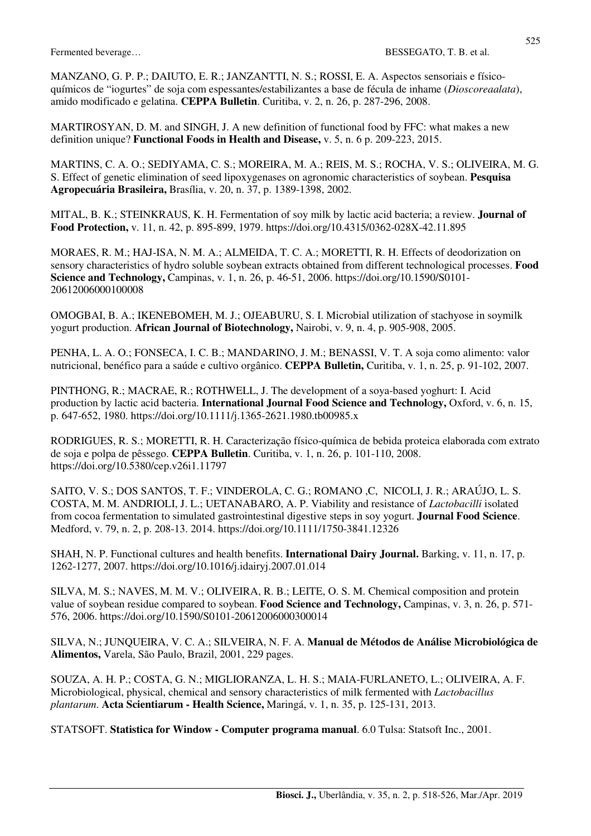MANZANO, G. P. P.; DAIUTO, E. R.; JANZANTTI, N. S.; ROSSI, E. A. Aspectos sensoriais e físicoquímicos de "iogurtes" de soja com espessantes/estabilizantes a base de fécula de inhame (*Dioscoreaalata*), amido modificado e gelatina. **CEPPA Bulletin**. Curitiba, v. 2, n. 26, p. 287-296, 2008.

MARTIROSYAN, D. M. and SINGH, J. A new definition of functional food by FFC: what makes a new definition unique? **Functional Foods in Health and Disease,** v. 5, n. 6 p. 209-223, 2015.

MARTINS, C. A. O.; SEDIYAMA, C. S.; MOREIRA, M. A.; REIS, M. S.; ROCHA, V. S.; OLIVEIRA, M. G. S. Effect of genetic elimination of seed lipoxygenases on agronomic characteristics of soybean. **Pesquisa Agropecuária Brasileira,** Brasília, v. 20, n. 37, p. 1389-1398, 2002.

MITAL, B. K.; STEINKRAUS, K. H. Fermentation of soy milk by lactic acid bacteria; a review. **Journal of Food Protection,** v. 11, n. 42, p. 895-899, 1979. https://doi.org/10.4315/0362-028X-42.11.895

MORAES, R. M.; HAJ-ISA, N. M. A.; ALMEIDA, T. C. A.; MORETTI, R. H. Effects of deodorization on sensory characteristics of hydro soluble soybean extracts obtained from different technological processes. **Food Science and Technology,** Campinas, v. 1, n. 26, p. 46-51, 2006. https://doi.org/10.1590/S0101- 20612006000100008

OMOGBAI, B. A.; IKENEBOMEH, M. J.; OJEABURU, S. I. Microbial utilization of stachyose in soymilk yogurt production. **African Journal of Biotechnology,** Nairobi, v. 9, n. 4, p. 905-908, 2005.

PENHA, L. A. O.; FONSECA, I. C. B.; MANDARINO, J. M.; BENASSI, V. T. A soja como alimento: valor nutricional, benéfico para a saúde e cultivo orgânico. **CEPPA Bulletin,** Curitiba, v. 1, n. 25, p. 91-102, 2007.

PINTHONG, R.; MACRAE, R.; ROTHWELL, J. The development of a soya-based yoghurt: I. Acid production by lactic acid bacteria. **International Journal Food Science and Technol**o**gy,** Oxford, v. 6, n. 15, p. 647-652, 1980. https://doi.org/10.1111/j.1365-2621.1980.tb00985.x

RODRIGUES, R. S.; MORETTI, R. H. Caracterização físico-química de bebida proteica elaborada com extrato de soja e polpa de pêssego. **CEPPA Bulletin**. Curitiba, v. 1, n. 26, p. 101-110, 2008. https://doi.org/10.5380/cep.v26i1.11797

SAITO, V. S.; DOS SANTOS, T. F.; VINDEROLA, C. G.; ROMANO ,C, NICOLI, J. R.; ARAÚJO, L. S. COSTA, M. M. ANDRIOLI, J. L.; UETANABARO, A. P. Viability and resistance of *Lactobacilli* isolated from cocoa fermentation to simulated gastrointestinal digestive steps in soy yogurt. **Journal Food Science**. Medford, v. 79, n. 2, p. 208-13. 2014. https://doi.org/10.1111/1750-3841.12326

SHAH, N. P. Functional cultures and health benefits. **International Dairy Journal.** Barking, v. 11, n. 17, p. 1262-1277, 2007. https://doi.org/10.1016/j.idairyj.2007.01.014

SILVA, M. S.; NAVES, M. M. V.; OLIVEIRA, R. B.; LEITE, O. S. M. Chemical composition and protein value of soybean residue compared to soybean. **Food Science and Technology,** Campinas, v. 3, n. 26, p. 571- 576, 2006. https://doi.org/10.1590/S0101-20612006000300014

SILVA, N.; JUNQUEIRA, V. C. A.; SILVEIRA, N. F. A. **Manual de Métodos de Análise Microbiológica de Alimentos,** Varela, São Paulo, Brazil, 2001, 229 pages.

SOUZA, A. H. P.; COSTA, G. N.; MIGLIORANZA, L. H. S.; MAIA-FURLANETO, L.; OLIVEIRA, A. F. Microbiological, physical, chemical and sensory characteristics of milk fermented with *Lactobacillus plantarum*. **Acta Scientiarum - Health Science,** Maringá, v. 1, n. 35, p. 125-131, 2013.

STATSOFT. **Statistica for Window - Computer programa manual**. 6.0 Tulsa: Statsoft Inc., 2001.